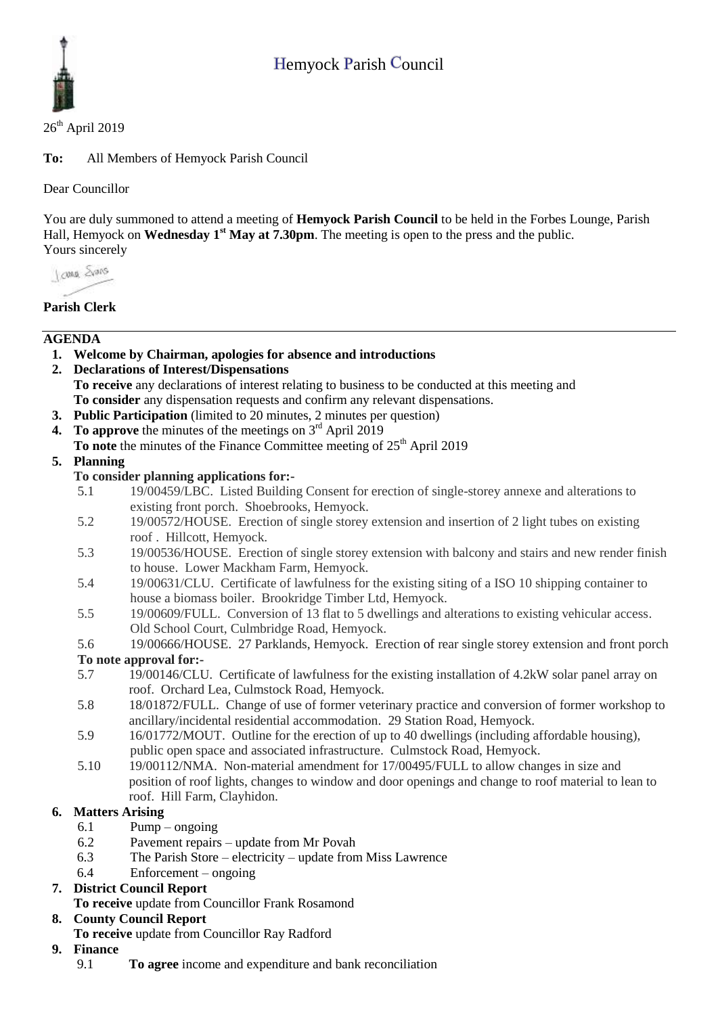# Hemyock Parish Council



#### $26<sup>th</sup>$  April 2019

**To:** All Members of Hemyock Parish Council

Dear Councillor

You are duly summoned to attend a meeting of **Hemyock Parish Council** to be held in the Forbes Lounge, Parish Hall, Hemyock on **Wednesday 1<sup>st</sup> May at 7.30pm**. The meeting is open to the press and the public. Yours sincerely

I awa Shans

### **Parish Clerk**

#### **AGENDA**

- **1. Welcome by Chairman, apologies for absence and introductions**
- **2. Declarations of Interest/Dispensations To receive** any declarations of interest relating to business to be conducted at this meeting and **To consider** any dispensation requests and confirm any relevant dispensations.
- **3. Public Participation** (limited to 20 minutes, 2 minutes per question)
- **4.** To approve the minutes of the meetings on 3<sup>rd</sup> April 2019
- To note the minutes of the Finance Committee meeting of 25<sup>th</sup> April 2019

#### **5. Planning**

#### **To consider planning applications for:-**

- 5.1 19/00459/LBC. Listed Building Consent for erection of single-storey annexe and alterations to existing front porch. Shoebrooks, Hemyock.
- 5.2 19/00572/HOUSE. Erection of single storey extension and insertion of 2 light tubes on existing roof . Hillcott, Hemyock.
- 5.3 19/00536/HOUSE. Erection of single storey extension with balcony and stairs and new render finish to house. Lower Mackham Farm, Hemyock.
- 5.4 19/00631/CLU. Certificate of lawfulness for the existing siting of a ISO 10 shipping container to house a biomass boiler. Brookridge Timber Ltd, Hemyock.
- 5.5 19/00609/FULL. Conversion of 13 flat to 5 dwellings and alterations to existing vehicular access. Old School Court, Culmbridge Road, Hemyock.
- 5.6 19/00666/HOUSE. 27 Parklands, Hemyock. Erection of rear single storey extension and front porch **To note approval for:-**
- 5.7 19/00146/CLU. Certificate of lawfulness for the existing installation of 4.2kW solar panel array on roof. Orchard Lea, Culmstock Road, Hemyock.
- 5.8 18/01872/FULL. Change of use of former veterinary practice and conversion of former workshop to ancillary/incidental residential accommodation. 29 Station Road, Hemyock.
- 5.9 16/01772/MOUT. Outline for the erection of up to 40 dwellings (including affordable housing), public open space and associated infrastructure. Culmstock Road, Hemyock.
- 5.10 19/00112/NMA. Non-material amendment for 17/00495/FULL to allow changes in size and position of roof lights, changes to window and door openings and change to roof material to lean to roof. Hill Farm, Clayhidon.

### **6. Matters Arising**

- 6.1 Pump ongoing
- 6.2 Pavement repairs update from Mr Povah
- 6.3 The Parish Store electricity update from Miss Lawrence
- 6.4 Enforcement ongoing

## **7. District Council Report**

**To receive** update from Councillor Frank Rosamond

## **8. County Council Report**

- **To receive** update from Councillor Ray Radford
- **9. Finance** 
	- 9.1 **To agree** income and expenditure and bank reconciliation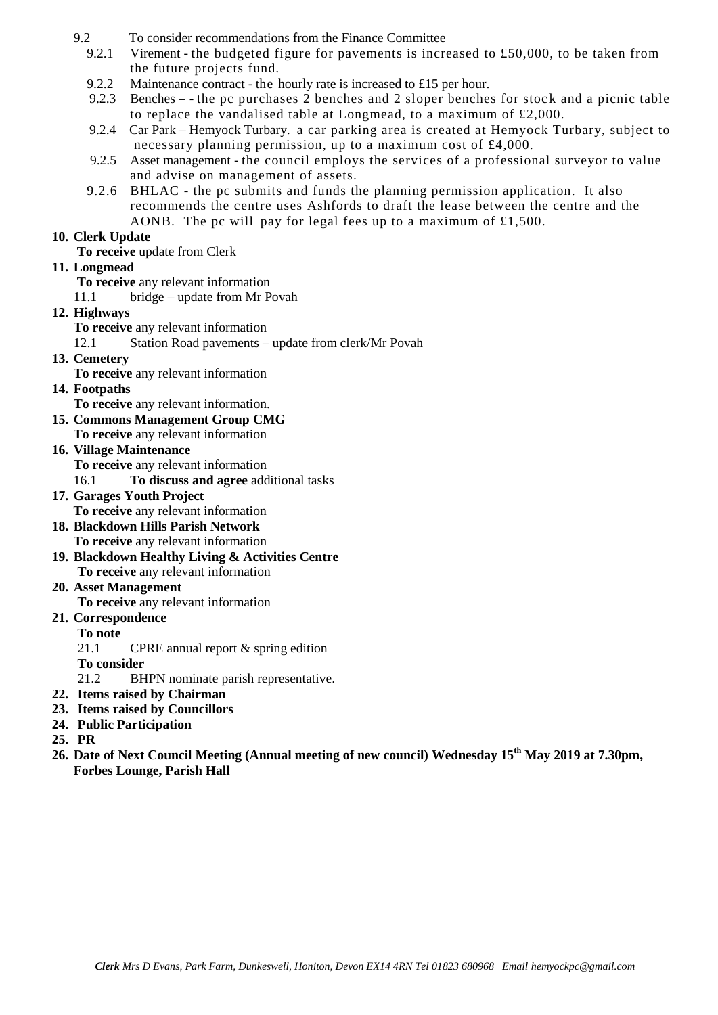- 9.2 To consider recommendations from the Finance Committee
	- 9.2.1 Virement the budgeted figure for pavements is increased to £50,000, to be taken from the future projects fund.
	- 9.2.2 Maintenance contract the hourly rate is increased to £15 per hour.
	- 9.2.3 Benches  $=$  the pc purchases 2 benches and 2 sloper benches for stock and a picnic table to replace the vandalised table at Longmead, to a maximum of £2,000.
	- 9.2.4 Car Park Hemyock Turbary. a car parking area is created at Hemyock Turbary, subject to necessary planning permission, up to a maximum cost of £4,000.
	- 9.2.5 Asset management the council employs the services of a professional surveyor to value and advise on management of assets.
	- 9.2.6 BHLAC the pc submits and funds the planning permission application. It also recommends the centre uses Ashfords to draft the lease between the centre and the AONB. The pc will pay for legal fees up to a maximum of £1,500.

#### **10. Clerk Update**

**To receive** update from Clerk

#### **11. Longmead**

**To receive** any relevant information

11.1 bridge – update from Mr Povah

#### **12. Highways**

**To receive** any relevant information

12.1 Station Road pavements – update from clerk/Mr Povah

#### **13. Cemetery**

**To receive** any relevant information

#### **14. Footpaths**

**To receive** any relevant information.

- **15. Commons Management Group CMG To receive** any relevant information
- **16. Village Maintenance**

**To receive** any relevant information

16.1 **To discuss and agree** additional tasks

- **17. Garages Youth Project To receive** any relevant information
- **18. Blackdown Hills Parish Network To receive** any relevant information
- **19. Blackdown Healthy Living & Activities Centre To receive** any relevant information

### **20. Asset Management**

**To receive** any relevant information

#### **21. Correspondence**

**To note**

21.1 CPRE annual report & spring edition

**To consider**

21.2 BHPN nominate parish representative.

- **22. Items raised by Chairman**
- **23. Items raised by Councillors**
- **24. Public Participation**

**25. PR**

**26. Date of Next Council Meeting (Annual meeting of new council) Wednesday 15th May 2019 at 7.30pm, Forbes Lounge, Parish Hall**